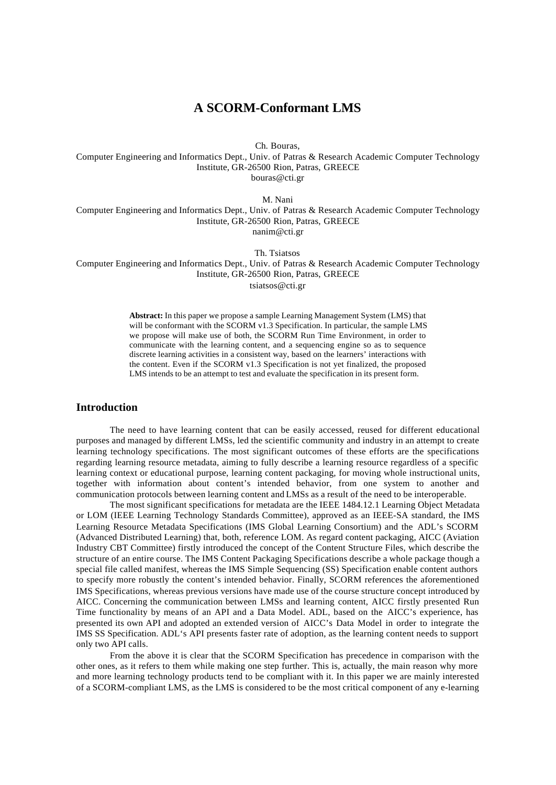# **A SCORM-Conformant LMS**

Ch. Bouras,

Computer Engineering and Informatics Dept., Univ. of Patras & Research Academic Computer Technology Institute, GR-26500 Rion, Patras, GREECE bouras@cti.gr

M. Nani

Computer Engineering and Informatics Dept., Univ. of Patras & Research Academic Computer Technology Institute, GR-26500 Rion, Patras, GREECE nanim@cti.gr

Th. Tsiatsos

Computer Engineering and Informatics Dept., Univ. of Patras & Research Academic Computer Technology Institute, GR-26500 Rion, Patras, GREECE tsiatsos@cti.gr

**Abstract:** In this paper we propose a sample Learning Management System (LMS) that will be conformant with the SCORM v1.3 Specification. In particular, the sample LMS we propose will make use of both, the SCORM Run Time Environment, in order to communicate with the learning content, and a sequencing engine so as to sequence discrete learning activities in a consistent way, based on the learners' interactions with the content. Even if the SCORM v1.3 Specification is not yet finalized, the proposed LMS intends to be an attempt to test and evaluate the specification in its present form.

## **Introduction**

The need to have learning content that can be easily accessed, reused for different educational purposes and managed by different LMSs, led the scientific community and industry in an attempt to create learning technology specifications. The most significant outcomes of these efforts are the specifications regarding learning resource metadata, aiming to fully describe a learning resource regardless of a specific learning context or educational purpose, learning content packaging, for moving whole instructional units, together with information about content's intended behavior, from one system to another and communication protocols between learning content and LMSs as a result of the need to be interoperable.

The most significant specifications for metadata are the IEEE 1484.12.1 Learning Object Metadata or LOM (IEEE Learning Technology Standards Committee), approved as an IEEE-SA standard, the IMS Learning Resource Metadata Specifications (IMS Global Learning Consortium) and the ADL's SCORM (Advanced Distributed Learning) that, both, reference LOM. As regard content packaging, AICC (Aviation Industry CBT Committee) firstly introduced the concept of the Content Structure Files, which describe the structure of an entire course. The IMS Content Packaging Specifications describe a whole package though a special file called manifest, whereas the IMS Simple Sequencing (SS) Specification enable content authors to specify more robustly the content's intended behavior. Finally, SCORM references the aforementioned IMS Specifications, whereas previous versions have made use of the course structure concept introduced by AICC. Concerning the communication between LMSs and learning content, AICC firstly presented Run Time functionality by means of an API and a Data Model. ADL, based on the AICC's experience, has presented its own API and adopted an extended version of AICC's Data Model in order to integrate the IMS SS Specification. ADL's API presents faster rate of adoption, as the learning content needs to support only two API calls.

From the above it is clear that the SCORM Specification has precedence in comparison with the other ones, as it refers to them while making one step further. This is, actually, the main reason why more and more learning technology products tend to be compliant with it. In this paper we are mainly interested of a SCORM-compliant LMS, as the LMS is considered to be the most critical component of any e-learning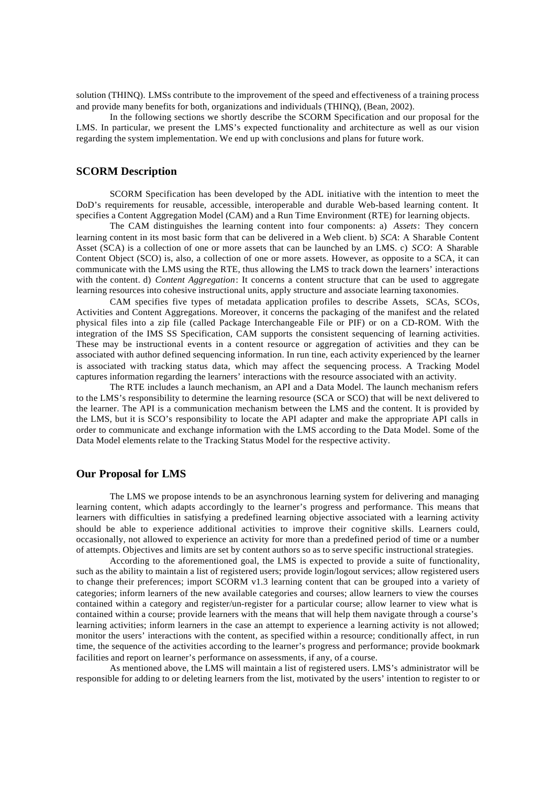solution (THINQ). LMSs contribute to the improvement of the speed and effectiveness of a training process and provide many benefits for both, organizations and individuals (THINQ), (Bean, 2002).

In the following sections we shortly describe the SCORM Specification and our proposal for the LMS. In particular, we present the LMS's expected functionality and architecture as well as our vision regarding the system implementation. We end up with conclusions and plans for future work.

# **SCORM Description**

SCORM Specification has been developed by the ADL initiative with the intention to meet the DoD's requirements for reusable, accessible, interoperable and durable Web-based learning content. It specifies a Content Aggregation Model (CAM) and a Run Time Environment (RTE) for learning objects.

The CAM distinguishes the learning content into four components: a) *Assets*: They concern learning content in its most basic form that can be delivered in a Web client. b) *SCA*: A Sharable Content Asset (SCA) is a collection of one or more assets that can be launched by an LMS. c) *SCO*: A Sharable Content Object (SCO) is, also, a collection of one or more assets. However, as opposite to a SCA, it can communicate with the LMS using the RTE, thus allowing the LMS to track down the learners' interactions with the content. d) *Content Aggregation*: It concerns a content structure that can be used to aggregate learning resources into cohesive instructional units, apply structure and associate learning taxonomies.

CAM specifies five types of metadata application profiles to describe Assets, SCAs, SCOs, Activities and Content Aggregations. Moreover, it concerns the packaging of the manifest and the related physical files into a zip file (called Package Interchangeable File or PIF) or on a CD-ROM. With the integration of the IMS SS Specification, CAM supports the consistent sequencing of learning activities. These may be instructional events in a content resource or aggregation of activities and they can be associated with author defined sequencing information. In run tine, each activity experienced by the learner is associated with tracking status data, which may affect the sequencing process. A Tracking Model captures information regarding the learners' interactions with the resource associated with an activity.

The RTE includes a launch mechanism, an API and a Data Model. The launch mechanism refers to the LMS's responsibility to determine the learning resource (SCA or SCO) that will be next delivered to the learner. The API is a communication mechanism between the LMS and the content. It is provided by the LMS, but it is SCO's responsibility to locate the API adapter and make the appropriate API calls in order to communicate and exchange information with the LMS according to the Data Model. Some of the Data Model elements relate to the Tracking Status Model for the respective activity.

## **Our Proposal for LMS**

The LMS we propose intends to be an asynchronous learning system for delivering and managing learning content, which adapts accordingly to the learner's progress and performance. This means that learners with difficulties in satisfying a predefined learning objective associated with a learning activity should be able to experience additional activities to improve their cognitive skills. Learners could, occasionally, not allowed to experience an activity for more than a predefined period of time or a number of attempts. Objectives and limits are set by content authors so as to serve specific instructional strategies.

According to the aforementioned goal, the LMS is expected to provide a suite of functionality, such as the ability to maintain a list of registered users; provide login/logout services; allow registered users to change their preferences; import SCORM v1.3 learning content that can be grouped into a variety of categories; inform learners of the new available categories and courses; allow learners to view the courses contained within a category and register/un-register for a particular course; allow learner to view what is contained within a course; provide learners with the means that will help them navigate through a course's learning activities; inform learners in the case an attempt to experience a learning activity is not allowed; monitor the users' interactions with the content, as specified within a resource; conditionally affect, in run time, the sequence of the activities according to the learner's progress and performance; provide bookmark facilities and report on learner's performance on assessments, if any, of a course.

As mentioned above, the LMS will maintain a list of registered users. LMS's administrator will be responsible for adding to or deleting learners from the list, motivated by the users' intention to register to or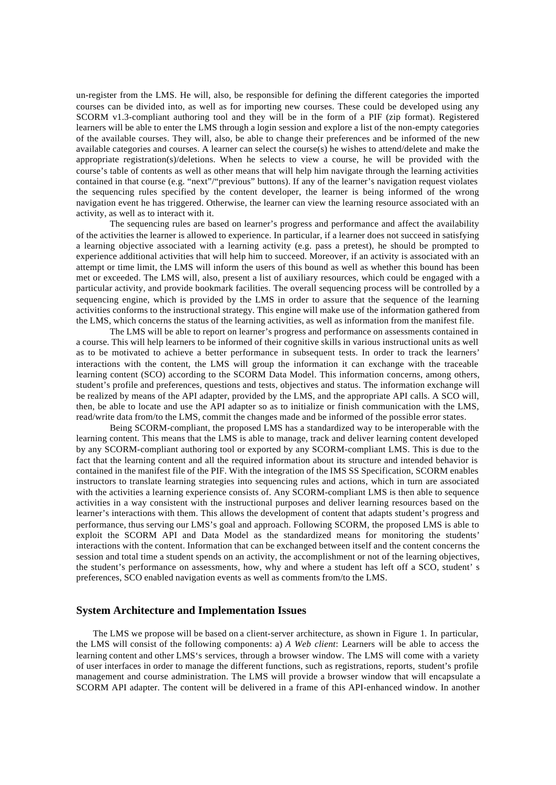un-register from the LMS. He will, also, be responsible for defining the different categories the imported courses can be divided into, as well as for importing new courses. These could be developed using any SCORM v1.3-compliant authoring tool and they will be in the form of a PIF (zip format). Registered learners will be able to enter the LMS through a login session and explore a list of the non-empty categories of the available courses. They will, also, be able to change their preferences and be informed of the new available categories and courses. A learner can select the course(s) he wishes to attend/delete and make the appropriate registration(s)/deletions. When he selects to view a course, he will be provided with the course's table of contents as well as other means that will help him navigate through the learning activities contained in that course (e.g. "next"/"previous" buttons). If any of the learner's navigation request violates the sequencing rules specified by the content developer, the learner is being informed of the wrong navigation event he has triggered. Otherwise, the learner can view the learning resource associated with an activity, as well as to interact with it.

The sequencing rules are based on learner's progress and performance and affect the availability of the activities the learner is allowed to experience. In particular, if a learner does not succeed in satisfying a learning objective associated with a learning activity (e.g. pass a pretest), he should be prompted to experience additional activities that will help him to succeed. Moreover, if an activity is associated with an attempt or time limit, the LMS will inform the users of this bound as well as whether this bound has been met or exceeded. The LMS will, also, present a list of auxiliary resources, which could be engaged with a particular activity, and provide bookmark facilities. The overall sequencing process will be controlled by a sequencing engine, which is provided by the LMS in order to assure that the sequence of the learning activities conforms to the instructional strategy. This engine will make use of the information gathered from the LMS, which concerns the status of the learning activities, as well as information from the manifest file.

The LMS will be able to report on learner's progress and performance on assessments contained in a course. This will help learners to be informed of their cognitive skills in various instructional units as well as to be motivated to achieve a better performance in subsequent tests. In order to track the learners' interactions with the content, the LMS will group the information it can exchange with the traceable learning content (SCO) according to the SCORM Data Model. This information concerns, among others, student's profile and preferences, questions and tests, objectives and status. The information exchange will be realized by means of the API adapter, provided by the LMS, and the appropriate API calls. A SCO will, then, be able to locate and use the API adapter so as to initialize or finish communication with the LMS, read/write data from/to the LMS, commit the changes made and be informed of the possible error states.

Being SCORM-compliant, the proposed LMS has a standardized way to be interoperable with the learning content. This means that the LMS is able to manage, track and deliver learning content developed by any SCORM-compliant authoring tool or exported by any SCORM-compliant LMS. This is due to the fact that the learning content and all the required information about its structure and intended behavior is contained in the manifest file of the PIF. With the integration of the IMS SS Specification, SCORM enables instructors to translate learning strategies into sequencing rules and actions, which in turn are associated with the activities a learning experience consists of. Any SCORM-compliant LMS is then able to sequence activities in a way consistent with the instructional purposes and deliver learning resources based on the learner's interactions with them. This allows the development of content that adapts student's progress and performance, thus serving our LMS's goal and approach. Following SCORM, the proposed LMS is able to exploit the SCORM API and Data Model as the standardized means for monitoring the students' interactions with the content. Information that can be exchanged between itself and the content concerns the session and total time a student spends on an activity, the accomplishment or not of the learning objectives, the student's performance on assessments, how, why and where a student has left off a SCO, student' s preferences, SCO enabled navigation events as well as comments from/to the LMS.

#### **System Architecture and Implementation Issues**

The LMS we propose will be based on a client-server architecture, as shown in Figure 1. In particular, the LMS will consist of the following components: a) *A Web client*: Learners will be able to access the learning content and other LMS's services, through a browser window. The LMS will come with a variety of user interfaces in order to manage the different functions, such as registrations, reports, student's profile management and course administration. The LMS will provide a browser window that will encapsulate a SCORM API adapter. The content will be delivered in a frame of this API-enhanced window. In another